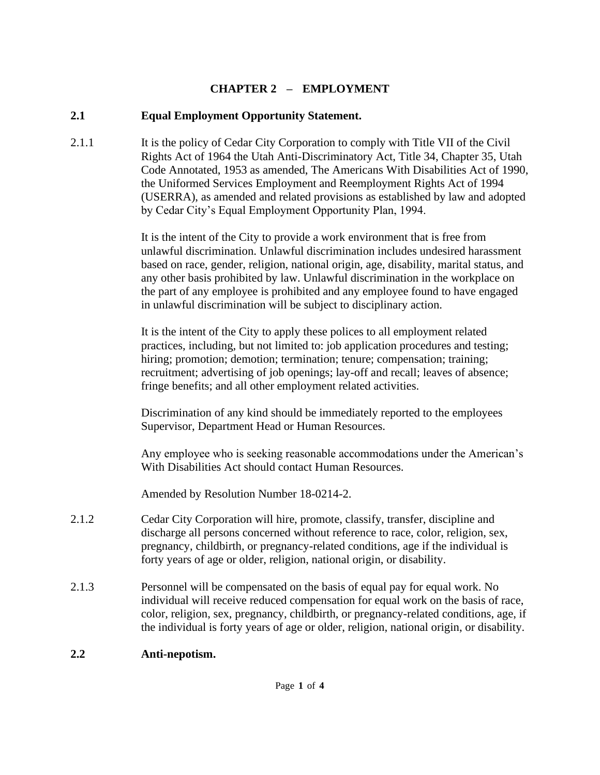#### **CHAPTER 2 – EMPLOYMENT**

#### **2.1 Equal Employment Opportunity Statement.**

2.1.1 It is the policy of Cedar City Corporation to comply with Title VII of the Civil Rights Act of 1964 the Utah Anti-Discriminatory Act, Title 34, Chapter 35, Utah Code Annotated, 1953 as amended, The Americans With Disabilities Act of 1990, the Uniformed Services Employment and Reemployment Rights Act of 1994 (USERRA), as amended and related provisions as established by law and adopted by Cedar City's Equal Employment Opportunity Plan, 1994.

> It is the intent of the City to provide a work environment that is free from unlawful discrimination. Unlawful discrimination includes undesired harassment based on race, gender, religion, national origin, age, disability, marital status, and any other basis prohibited by law. Unlawful discrimination in the workplace on the part of any employee is prohibited and any employee found to have engaged in unlawful discrimination will be subject to disciplinary action.

It is the intent of the City to apply these polices to all employment related practices, including, but not limited to: job application procedures and testing; hiring; promotion; demotion; termination; tenure; compensation; training; recruitment; advertising of job openings; lay-off and recall; leaves of absence; fringe benefits; and all other employment related activities.

Discrimination of any kind should be immediately reported to the employees Supervisor, Department Head or Human Resources.

Any employee who is seeking reasonable accommodations under the American's With Disabilities Act should contact Human Resources.

Amended by Resolution Number 18-0214-2.

- 2.1.2 Cedar City Corporation will hire, promote, classify, transfer, discipline and discharge all persons concerned without reference to race, color, religion, sex, pregnancy, childbirth, or pregnancy-related conditions, age if the individual is forty years of age or older, religion, national origin, or disability.
- 2.1.3 Personnel will be compensated on the basis of equal pay for equal work. No individual will receive reduced compensation for equal work on the basis of race, color, religion, sex, pregnancy, childbirth, or pregnancy-related conditions, age, if the individual is forty years of age or older, religion, national origin, or disability.

#### **2.2 Anti-nepotism.**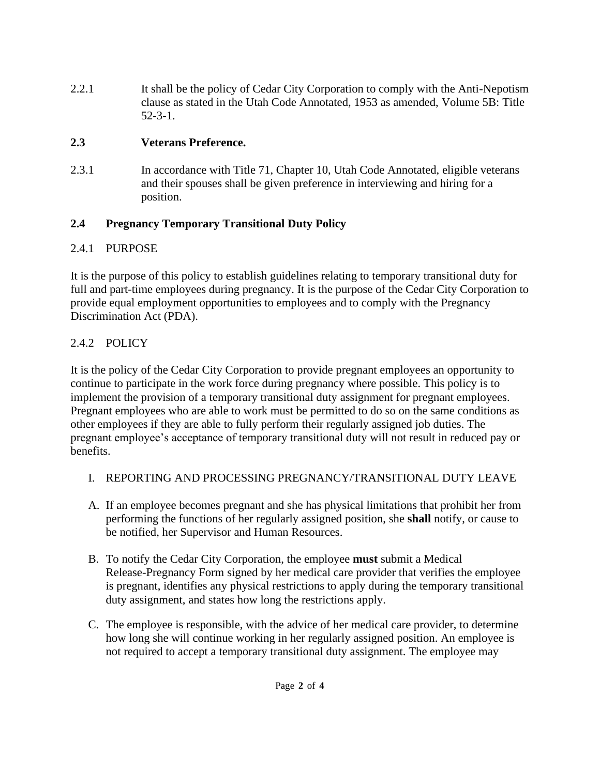2.2.1 It shall be the policy of Cedar City Corporation to comply with the Anti-Nepotism clause as stated in the Utah Code Annotated, 1953 as amended, Volume 5B: Title 52-3-1.

#### **2.3 Veterans Preference.**

2.3.1 In accordance with Title 71, Chapter 10, Utah Code Annotated, eligible veterans and their spouses shall be given preference in interviewing and hiring for a position.

# **2.4 Pregnancy Temporary Transitional Duty Policy**

# 2.4.1 PURPOSE

It is the purpose of this policy to establish guidelines relating to temporary transitional duty for full and part-time employees during pregnancy. It is the purpose of the Cedar City Corporation to provide equal employment opportunities to employees and to comply with the Pregnancy Discrimination Act (PDA).

# 2.4.2 POLICY

It is the policy of the Cedar City Corporation to provide pregnant employees an opportunity to continue to participate in the work force during pregnancy where possible. This policy is to implement the provision of a temporary transitional duty assignment for pregnant employees. Pregnant employees who are able to work must be permitted to do so on the same conditions as other employees if they are able to fully perform their regularly assigned job duties. The pregnant employee's acceptance of temporary transitional duty will not result in reduced pay or benefits.

- I. REPORTING AND PROCESSING PREGNANCY/TRANSITIONAL DUTY LEAVE
- A. If an employee becomes pregnant and she has physical limitations that prohibit her from performing the functions of her regularly assigned position, she **shall** notify, or cause to be notified, her Supervisor and Human Resources.
- B. To notify the Cedar City Corporation, the employee **must** submit a Medical Release-Pregnancy Form signed by her medical care provider that verifies the employee is pregnant, identifies any physical restrictions to apply during the temporary transitional duty assignment, and states how long the restrictions apply.
- C. The employee is responsible, with the advice of her medical care provider, to determine how long she will continue working in her regularly assigned position. An employee is not required to accept a temporary transitional duty assignment. The employee may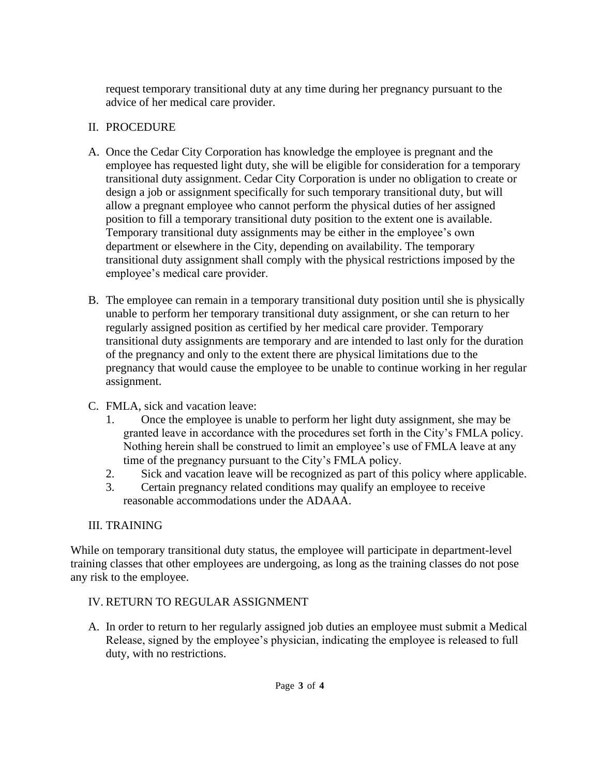request temporary transitional duty at any time during her pregnancy pursuant to the advice of her medical care provider.

#### II. PROCEDURE

- A. Once the Cedar City Corporation has knowledge the employee is pregnant and the employee has requested light duty, she will be eligible for consideration for a temporary transitional duty assignment. Cedar City Corporation is under no obligation to create or design a job or assignment specifically for such temporary transitional duty, but will allow a pregnant employee who cannot perform the physical duties of her assigned position to fill a temporary transitional duty position to the extent one is available. Temporary transitional duty assignments may be either in the employee's own department or elsewhere in the City, depending on availability. The temporary transitional duty assignment shall comply with the physical restrictions imposed by the employee's medical care provider.
- B. The employee can remain in a temporary transitional duty position until she is physically unable to perform her temporary transitional duty assignment, or she can return to her regularly assigned position as certified by her medical care provider. Temporary transitional duty assignments are temporary and are intended to last only for the duration of the pregnancy and only to the extent there are physical limitations due to the pregnancy that would cause the employee to be unable to continue working in her regular assignment.
- C. FMLA, sick and vacation leave:
	- 1. Once the employee is unable to perform her light duty assignment, she may be granted leave in accordance with the procedures set forth in the City's FMLA policy. Nothing herein shall be construed to limit an employee's use of FMLA leave at any time of the pregnancy pursuant to the City's FMLA policy.
	- 2. Sick and vacation leave will be recognized as part of this policy where applicable.
	- 3. Certain pregnancy related conditions may qualify an employee to receive reasonable accommodations under the ADAAA.

# III. TRAINING

While on temporary transitional duty status, the employee will participate in department-level training classes that other employees are undergoing, as long as the training classes do not pose any risk to the employee.

# IV. RETURN TO REGULAR ASSIGNMENT

A. In order to return to her regularly assigned job duties an employee must submit a Medical Release, signed by the employee's physician, indicating the employee is released to full duty, with no restrictions.